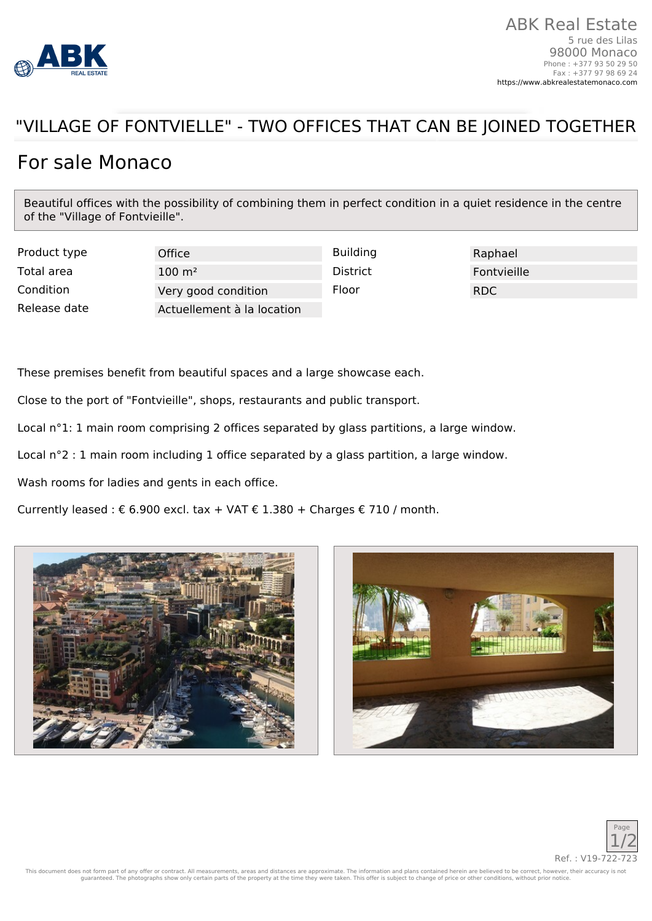

## "VILLAGE OF FONTVIELLE" - TWO OFFICES THAT CAN BE JOINED TOGETHER

## For sale Monaco

Beautiful offices with the possibility of combining them in perfect condition in a quiet residence in the centre of the "Village of Fontvieille".

Product type **Office** Office **Building** Building Raphael Total area  $100 \text{ m}^2$  District Fontvieille Condition **Very good condition** Floor **Floor** RDC Release date **Actuellement à la location** 

These premises benefit from beautiful spaces and a large showcase each.

Close to the port of "Fontvieille", shops, restaurants and public transport.

Local n°1: 1 main room comprising 2 offices separated by glass partitions, a large window.

Local n°2 : 1 main room including 1 office separated by a glass partition, a large window.

Wash rooms for ladies and gents in each office.

Currently leased : € 6.900 excl. tax + VAT € 1.380 + Charges € 710 / month.







This document does not form part of any offer or contract. All measurements, areas and distances are approximate. The information and plans contained herein are believed to be correct, however, their accuracy is not guaranteed. The photographs show only certain parts of the property at the time they were taken. This offer is subject to change of price or other conditions, without prior notice.